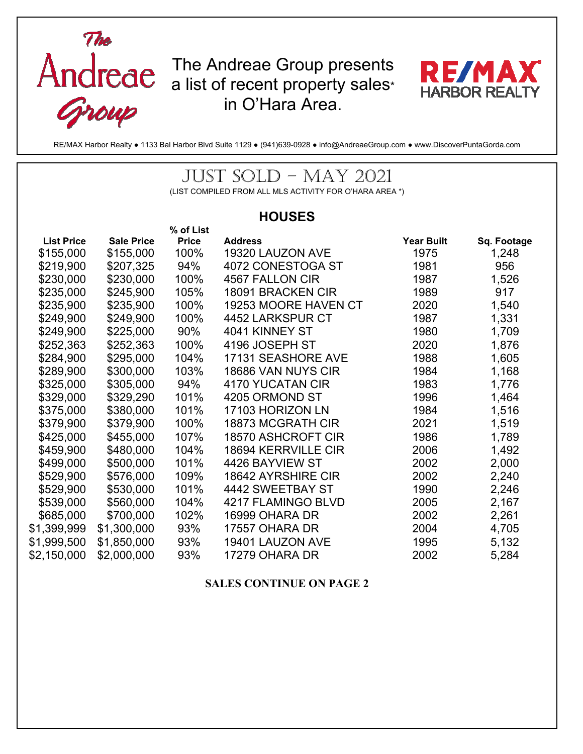

RE/MAX Harbor Realty ● 1133 Bal Harbor Blvd Suite 1129 ● (941)639-0928 ● info@AndreaeGroup.com ● www.DiscoverPuntaGorda.com

## JUST SOLD – MAY 2021

(LIST COMPILED FROM ALL MLS ACTIVITY FOR O'HARA AREA \*)

## **HOUSES**

|                   |                   | % of List    |                      |                   |             |
|-------------------|-------------------|--------------|----------------------|-------------------|-------------|
| <b>List Price</b> | <b>Sale Price</b> | <b>Price</b> | <b>Address</b>       | <b>Year Built</b> | Sq. Footage |
| \$155,000         | \$155,000         | 100%         | 19320 LAUZON AVE     | 1975              | 1,248       |
| \$219,900         | \$207,325         | 94%          | 4072 CONESTOGA ST    | 1981              | 956         |
| \$230,000         | \$230,000         | 100%         | 4567 FALLON CIR      | 1987              | 1,526       |
| \$235,000         | \$245,900         | 105%         | 18091 BRACKEN CIR    | 1989              | 917         |
| \$235,900         | \$235,900         | 100%         | 19253 MOORE HAVEN CT | 2020              | 1,540       |
| \$249,900         | \$249,900         | 100%         | 4452 LARKSPUR CT     | 1987              | 1,331       |
| \$249,900         | \$225,000         | 90%          | 4041 KINNEY ST       | 1980              | 1,709       |
| \$252,363         | \$252,363         | 100%         | 4196 JOSEPH ST       | 2020              | 1,876       |
| \$284,900         | \$295,000         | 104%         | 17131 SEASHORE AVE   | 1988              | 1,605       |
| \$289,900         | \$300,000         | 103%         | 18686 VAN NUYS CIR   | 1984              | 1,168       |
| \$325,000         | \$305,000         | 94%          | 4170 YUCATAN CIR     | 1983              | 1,776       |
| \$329,000         | \$329,290         | 101%         | 4205 ORMOND ST       | 1996              | 1,464       |
| \$375,000         | \$380,000         | 101%         | 17103 HORIZON LN     | 1984              | 1,516       |
| \$379,900         | \$379,900         | 100%         | 18873 MCGRATH CIR    | 2021              | 1,519       |
| \$425,000         | \$455,000         | 107%         | 18570 ASHCROFT CIR   | 1986              | 1,789       |
| \$459,900         | \$480,000         | 104%         | 18694 KERRVILLE CIR  | 2006              | 1,492       |
| \$499,000         | \$500,000         | 101%         | 4426 BAYVIEW ST      | 2002              | 2,000       |
| \$529,900         | \$576,000         | 109%         | 18642 AYRSHIRE CIR   | 2002              | 2,240       |
| \$529,900         | \$530,000         | 101%         | 4442 SWEETBAY ST     | 1990              | 2,246       |
| \$539,000         | \$560,000         | 104%         | 4217 FLAMINGO BLVD   | 2005              | 2,167       |
| \$685,000         | \$700,000         | 102%         | 16999 OHARA DR       | 2002              | 2,261       |
| \$1,399,999       | \$1,300,000       | 93%          | 17557 OHARA DR       | 2004              | 4,705       |
| \$1,999,500       | \$1,850,000       | 93%          | 19401 LAUZON AVE     | 1995              | 5,132       |
| \$2,150,000       | \$2,000,000       | 93%          | 17279 OHARA DR       | 2002              | 5,284       |

**SALES CONTINUE ON PAGE 2**